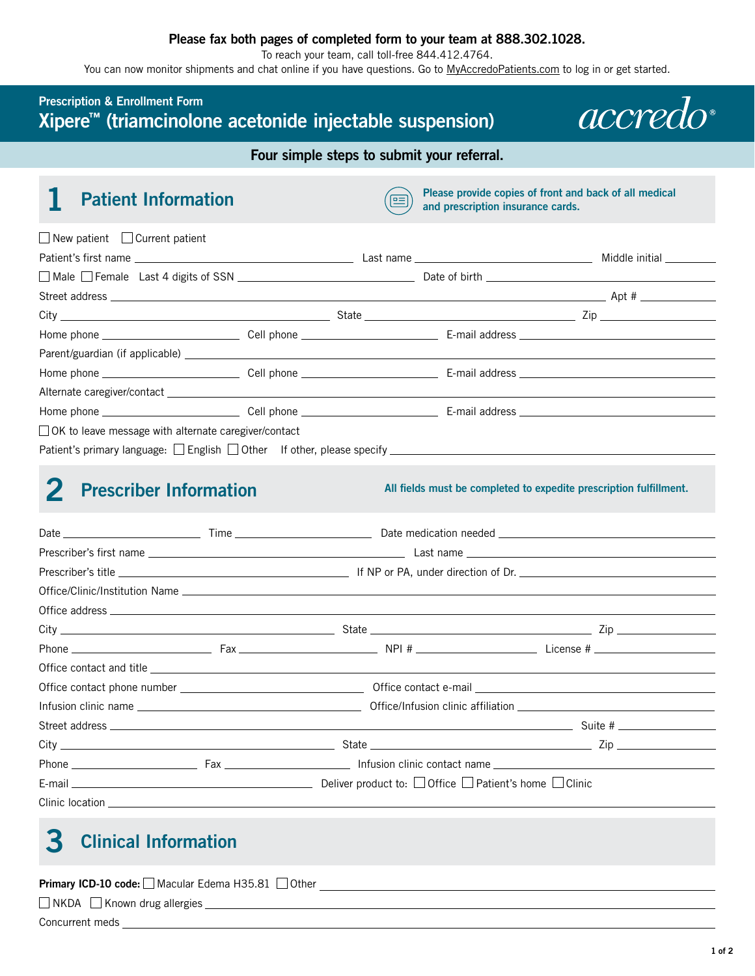### **Please fax both pages of completed form to your team at 888.302.1028.**

To reach your team, call toll-free 844.412.4764.

You can now monitor shipments and chat online if you have questions. Go to [MyAccredoPatients.com](https://MyAccredoPatients.com) to log in or get started.

## **Prescription & Enrollment Form Xipere™ (triamcinolone acetonide injectable suspension)**



### **Four simple steps to submit your referral.**



**1 Patient Information Please provide copies of front and back of all medical** <br> **Please provide copies of front and back of all medical and prescription insurance cards.** 

|                                                        |  | Middle initial                                                                                                                                                                  |
|--------------------------------------------------------|--|---------------------------------------------------------------------------------------------------------------------------------------------------------------------------------|
|                                                        |  |                                                                                                                                                                                 |
|                                                        |  |                                                                                                                                                                                 |
|                                                        |  |                                                                                                                                                                                 |
|                                                        |  |                                                                                                                                                                                 |
|                                                        |  |                                                                                                                                                                                 |
|                                                        |  |                                                                                                                                                                                 |
|                                                        |  |                                                                                                                                                                                 |
|                                                        |  |                                                                                                                                                                                 |
| □ OK to leave message with alternate caregiver/contact |  |                                                                                                                                                                                 |
|                                                        |  |                                                                                                                                                                                 |
|                                                        |  | $City$ $\qquad \qquad \qquad$ State $\qquad \qquad \qquad$ State $\qquad \qquad$ Zip<br>Patient's primary language: $\Box$ English $\Box$ Other If other, please specify $\Box$ |

# **2** Prescriber Information **All fields must be completed to expedite prescription fulfillment.**

|  | $City$ $\qquad \qquad \qquad$ State $\qquad \qquad \qquad$ State $\qquad \qquad \qquad$ | $\mathsf{Zip}$ |  |
|--|-----------------------------------------------------------------------------------------|----------------|--|
|  |                                                                                         |                |  |
|  |                                                                                         |                |  |
|  |                                                                                         |                |  |

## **3 Clinical Information**

| Primary ICD-10 code: Macular Edema H35.81 0ther |  |
|-------------------------------------------------|--|
| $\Box$ NKDA $\Box$ Known drug allergies         |  |
| Concurrent meds                                 |  |